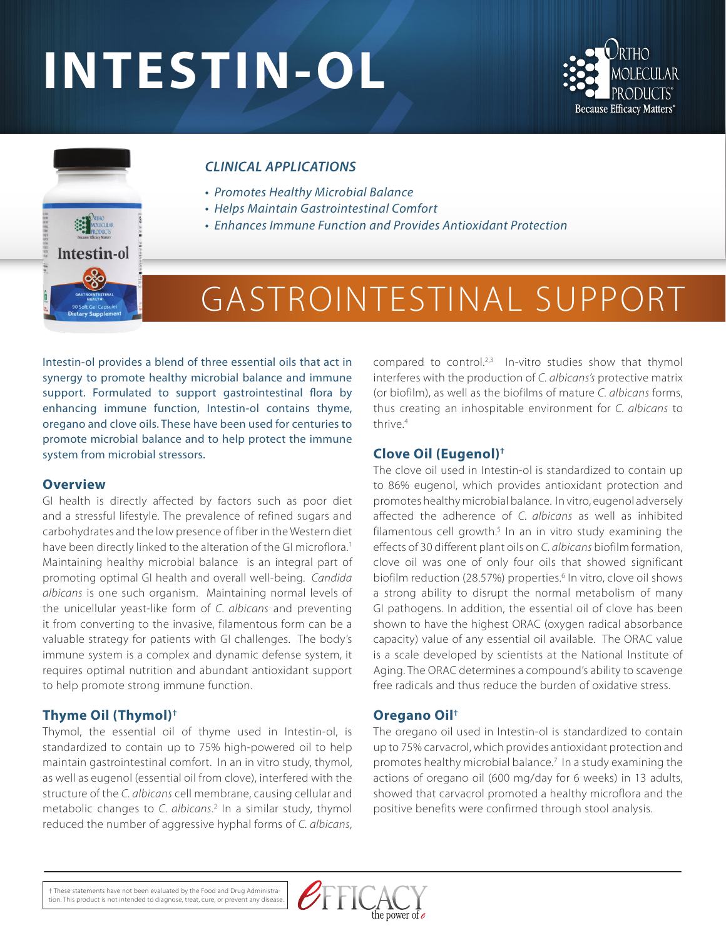# **INTESTIN-OL**





#### *CLINICAL APPLICATIONS*

- *Promotes Healthy Microbial Balance*
- *Helps Maintain Gastrointestinal Comfort*
- *Enhances Immune Function and Provides Antioxidant Protection*

## GASTROINTESTINAL SUPPORT

Intestin-ol provides a blend of three essential oils that act in synergy to promote healthy microbial balance and immune support. Formulated to support gastrointestinal flora by enhancing immune function, Intestin-ol contains thyme, oregano and clove oils. These have been used for centuries to promote microbial balance and to help protect the immune system from microbial stressors.

#### **Overview**

GI health is directly affected by factors such as poor diet and a stressful lifestyle. The prevalence of refined sugars and carbohydrates and the low presence of fiber in the Western diet have been directly linked to the alteration of the GI microflora.<sup>1</sup> Maintaining healthy microbial balance is an integral part of promoting optimal GI health and overall well-being. *Candida albicans* is one such organism. Maintaining normal levels of the unicellular yeast-like form of *C. albicans* and preventing it from converting to the invasive, filamentous form can be a valuable strategy for patients with GI challenges. The body's immune system is a complex and dynamic defense system, it requires optimal nutrition and abundant antioxidant support to help promote strong immune function.

#### **Thyme Oil (Thymol)†**

Thymol, the essential oil of thyme used in Intestin-ol, is standardized to contain up to 75% high-powered oil to help maintain gastrointestinal comfort. In an in vitro study, thymol, as well as eugenol (essential oil from clove), interfered with the structure of the *C. albicans* cell membrane, causing cellular and metabolic changes to *C. albicans*. 2 In a similar study, thymol reduced the number of aggressive hyphal forms of *C. albicans*,

compared to control.<sup>2,3</sup> In-vitro studies show that thymol interferes with the production of *C. albicans's* protective matrix (or biofilm), as well as the biofilms of mature *C. albicans* forms, thus creating an inhospitable environment for *C. albicans* to thrive.4

#### **Clove Oil (Eugenol)†**

The clove oil used in Intestin-ol is standardized to contain up to 86% eugenol, which provides antioxidant protection and promotes healthy microbial balance. In vitro, eugenol adversely affected the adherence of *C. albicans* as well as inhibited filamentous cell growth.<sup>5</sup> In an in vitro study examining the effects of 30 different plant oils on *C. albicans* biofilm formation, clove oil was one of only four oils that showed significant biofilm reduction (28.57%) properties.<sup>6</sup> In vitro, clove oil shows a strong ability to disrupt the normal metabolism of many GI pathogens. In addition, the essential oil of clove has been shown to have the highest ORAC (oxygen radical absorbance capacity) value of any essential oil available. The ORAC value is a scale developed by scientists at the National Institute of Aging. The ORAC determines a compound's ability to scavenge free radicals and thus reduce the burden of oxidative stress.

#### **Oregano Oil†**

The oregano oil used in Intestin-ol is standardized to contain up to 75% carvacrol, which provides antioxidant protection and promotes healthy microbial balance.<sup>7</sup> In a study examining the actions of oregano oil (600 mg/day for 6 weeks) in 13 adults, showed that carvacrol promoted a healthy microflora and the positive benefits were confirmed through stool analysis.